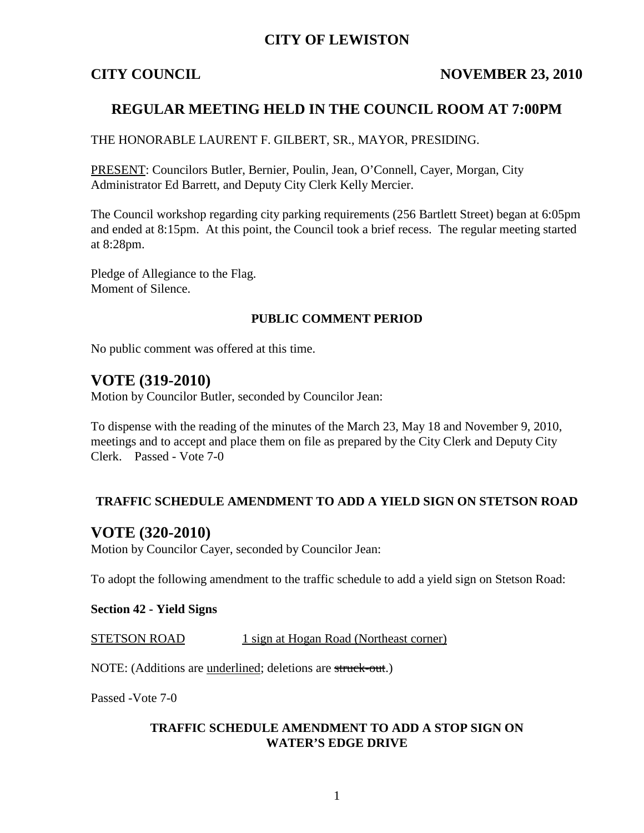## **CITY OF LEWISTON**

## **CITY COUNCIL NOVEMBER 23, 2010**

## **REGULAR MEETING HELD IN THE COUNCIL ROOM AT 7:00PM**

### THE HONORABLE LAURENT F. GILBERT, SR., MAYOR, PRESIDING.

PRESENT: Councilors Butler, Bernier, Poulin, Jean, O'Connell, Cayer, Morgan, City Administrator Ed Barrett, and Deputy City Clerk Kelly Mercier.

The Council workshop regarding city parking requirements (256 Bartlett Street) began at 6:05pm and ended at 8:15pm. At this point, the Council took a brief recess. The regular meeting started at 8:28pm.

Pledge of Allegiance to the Flag. Moment of Silence.

### **PUBLIC COMMENT PERIOD**

No public comment was offered at this time.

## **VOTE (319-2010)**

Motion by Councilor Butler, seconded by Councilor Jean:

To dispense with the reading of the minutes of the March 23, May 18 and November 9, 2010, meetings and to accept and place them on file as prepared by the City Clerk and Deputy City Clerk. Passed - Vote 7-0

## **TRAFFIC SCHEDULE AMENDMENT TO ADD A YIELD SIGN ON STETSON ROAD**

## **VOTE (320-2010)**

Motion by Councilor Cayer, seconded by Councilor Jean:

To adopt the following amendment to the traffic schedule to add a yield sign on Stetson Road:

#### **Section 42 - Yield Signs**

STETSON ROAD 1 sign at Hogan Road (Northeast corner)

NOTE: (Additions are underlined; deletions are struck-out.)

Passed -Vote 7-0

### **TRAFFIC SCHEDULE AMENDMENT TO ADD A STOP SIGN ON WATER'S EDGE DRIVE**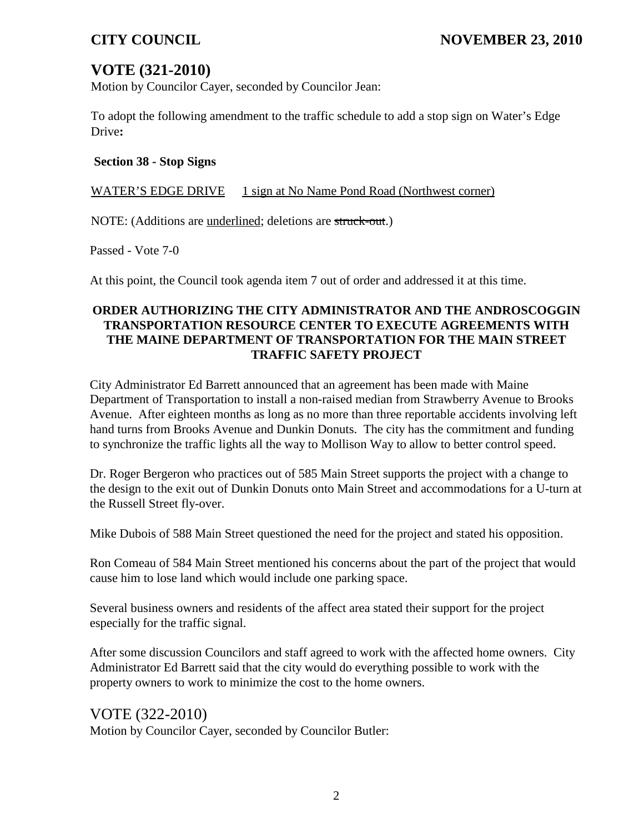# **VOTE (321-2010)**

Motion by Councilor Cayer, seconded by Councilor Jean:

To adopt the following amendment to the traffic schedule to add a stop sign on Water's Edge Drive**:**

### **Section 38 - Stop Signs**

WATER'S EDGE DRIVE 1 sign at No Name Pond Road (Northwest corner)

NOTE: (Additions are underlined; deletions are struck-out.)

Passed - Vote 7-0

At this point, the Council took agenda item 7 out of order and addressed it at this time.

### **ORDER AUTHORIZING THE CITY ADMINISTRATOR AND THE ANDROSCOGGIN TRANSPORTATION RESOURCE CENTER TO EXECUTE AGREEMENTS WITH THE MAINE DEPARTMENT OF TRANSPORTATION FOR THE MAIN STREET TRAFFIC SAFETY PROJECT**

City Administrator Ed Barrett announced that an agreement has been made with Maine Department of Transportation to install a non-raised median from Strawberry Avenue to Brooks Avenue. After eighteen months as long as no more than three reportable accidents involving left hand turns from Brooks Avenue and Dunkin Donuts. The city has the commitment and funding to synchronize the traffic lights all the way to Mollison Way to allow to better control speed.

Dr. Roger Bergeron who practices out of 585 Main Street supports the project with a change to the design to the exit out of Dunkin Donuts onto Main Street and accommodations for a U-turn at the Russell Street fly-over.

Mike Dubois of 588 Main Street questioned the need for the project and stated his opposition.

Ron Comeau of 584 Main Street mentioned his concerns about the part of the project that would cause him to lose land which would include one parking space.

Several business owners and residents of the affect area stated their support for the project especially for the traffic signal.

After some discussion Councilors and staff agreed to work with the affected home owners. City Administrator Ed Barrett said that the city would do everything possible to work with the property owners to work to minimize the cost to the home owners.

VOTE (322-2010) Motion by Councilor Cayer, seconded by Councilor Butler: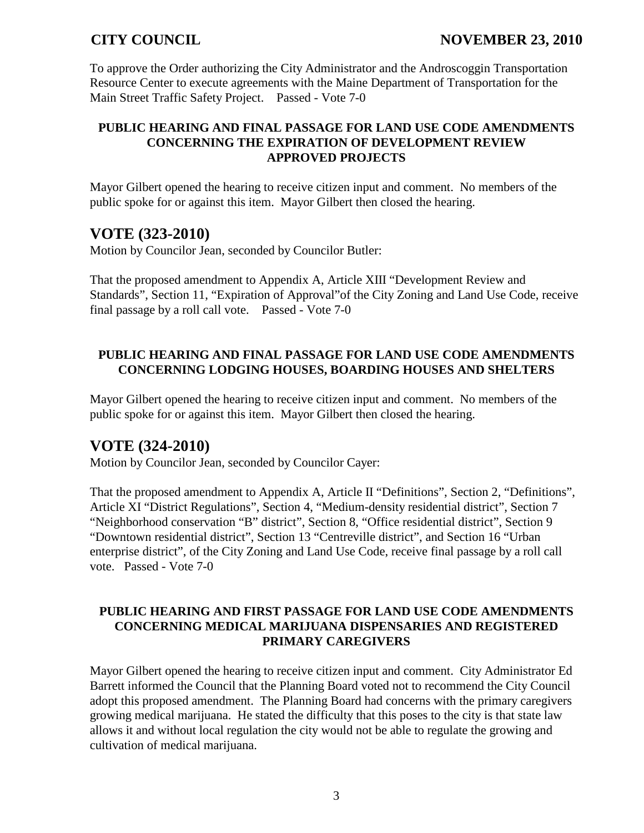To approve the Order authorizing the City Administrator and the Androscoggin Transportation Resource Center to execute agreements with the Maine Department of Transportation for the Main Street Traffic Safety Project. Passed - Vote 7-0

## **PUBLIC HEARING AND FINAL PASSAGE FOR LAND USE CODE AMENDMENTS CONCERNING THE EXPIRATION OF DEVELOPMENT REVIEW APPROVED PROJECTS**

Mayor Gilbert opened the hearing to receive citizen input and comment. No members of the public spoke for or against this item. Mayor Gilbert then closed the hearing.

## **VOTE (323-2010)**

Motion by Councilor Jean, seconded by Councilor Butler:

That the proposed amendment to Appendix A, Article XIII "Development Review and Standards", Section 11, "Expiration of Approval"of the City Zoning and Land Use Code, receive final passage by a roll call vote. Passed - Vote 7-0

## **PUBLIC HEARING AND FINAL PASSAGE FOR LAND USE CODE AMENDMENTS CONCERNING LODGING HOUSES, BOARDING HOUSES AND SHELTERS**

Mayor Gilbert opened the hearing to receive citizen input and comment. No members of the public spoke for or against this item. Mayor Gilbert then closed the hearing.

## **VOTE (324-2010)**

Motion by Councilor Jean, seconded by Councilor Cayer:

That the proposed amendment to Appendix A, Article II "Definitions", Section 2, "Definitions", Article XI "District Regulations", Section 4, "Medium-density residential district", Section 7 "Neighborhood conservation "B" district", Section 8, "Office residential district", Section 9 "Downtown residential district", Section 13 "Centreville district", and Section 16 "Urban enterprise district", of the City Zoning and Land Use Code, receive final passage by a roll call vote. Passed - Vote 7-0

## **PUBLIC HEARING AND FIRST PASSAGE FOR LAND USE CODE AMENDMENTS CONCERNING MEDICAL MARIJUANA DISPENSARIES AND REGISTERED PRIMARY CAREGIVERS**

Mayor Gilbert opened the hearing to receive citizen input and comment. City Administrator Ed Barrett informed the Council that the Planning Board voted not to recommend the City Council adopt this proposed amendment. The Planning Board had concerns with the primary caregivers growing medical marijuana. He stated the difficulty that this poses to the city is that state law allows it and without local regulation the city would not be able to regulate the growing and cultivation of medical marijuana.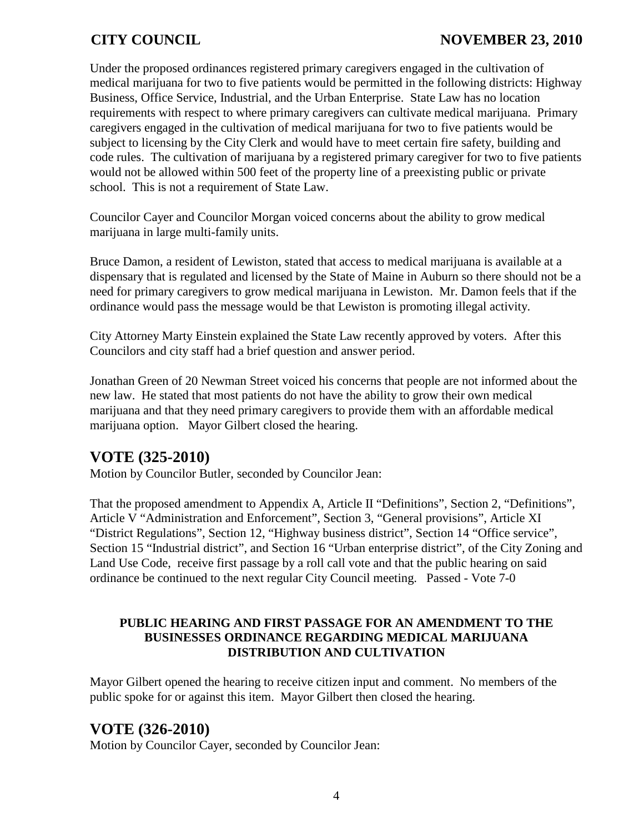Under the proposed ordinances registered primary caregivers engaged in the cultivation of medical marijuana for two to five patients would be permitted in the following districts: Highway Business, Office Service, Industrial, and the Urban Enterprise. State Law has no location requirements with respect to where primary caregivers can cultivate medical marijuana. Primary caregivers engaged in the cultivation of medical marijuana for two to five patients would be subject to licensing by the City Clerk and would have to meet certain fire safety, building and code rules. The cultivation of marijuana by a registered primary caregiver for two to five patients would not be allowed within 500 feet of the property line of a preexisting public or private school. This is not a requirement of State Law.

Councilor Cayer and Councilor Morgan voiced concerns about the ability to grow medical marijuana in large multi-family units.

Bruce Damon, a resident of Lewiston, stated that access to medical marijuana is available at a dispensary that is regulated and licensed by the State of Maine in Auburn so there should not be a need for primary caregivers to grow medical marijuana in Lewiston. Mr. Damon feels that if the ordinance would pass the message would be that Lewiston is promoting illegal activity.

City Attorney Marty Einstein explained the State Law recently approved by voters. After this Councilors and city staff had a brief question and answer period.

Jonathan Green of 20 Newman Street voiced his concerns that people are not informed about the new law. He stated that most patients do not have the ability to grow their own medical marijuana and that they need primary caregivers to provide them with an affordable medical marijuana option. Mayor Gilbert closed the hearing.

# **VOTE (325-2010)**

Motion by Councilor Butler, seconded by Councilor Jean:

That the proposed amendment to Appendix A, Article II "Definitions", Section 2, "Definitions", Article V "Administration and Enforcement", Section 3, "General provisions", Article XI "District Regulations", Section 12, "Highway business district", Section 14 "Office service", Section 15 "Industrial district", and Section 16 "Urban enterprise district", of the City Zoning and Land Use Code, receive first passage by a roll call vote and that the public hearing on said ordinance be continued to the next regular City Council meeting. Passed - Vote 7-0

## **PUBLIC HEARING AND FIRST PASSAGE FOR AN AMENDMENT TO THE BUSINESSES ORDINANCE REGARDING MEDICAL MARIJUANA DISTRIBUTION AND CULTIVATION**

Mayor Gilbert opened the hearing to receive citizen input and comment. No members of the public spoke for or against this item. Mayor Gilbert then closed the hearing.

# **VOTE (326-2010)**

Motion by Councilor Cayer, seconded by Councilor Jean: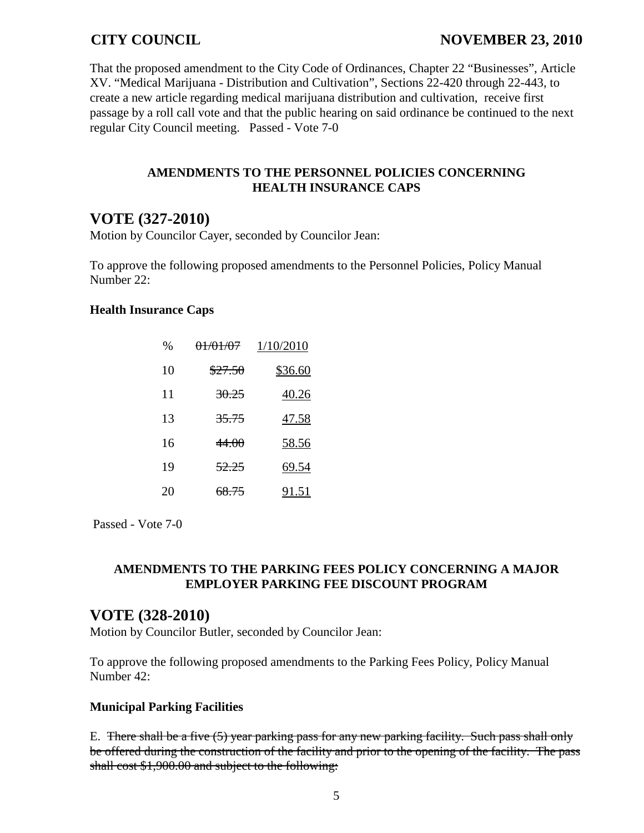That the proposed amendment to the City Code of Ordinances, Chapter 22 "Businesses", Article XV. "Medical Marijuana - Distribution and Cultivation", Sections 22-420 through 22-443, to create a new article regarding medical marijuana distribution and cultivation, receive first passage by a roll call vote and that the public hearing on said ordinance be continued to the next regular City Council meeting. Passed - Vote 7-0

### **AMENDMENTS TO THE PERSONNEL POLICIES CONCERNING HEALTH INSURANCE CAPS**

## **VOTE (327-2010)**

Motion by Councilor Cayer, seconded by Councilor Jean:

To approve the following proposed amendments to the Personnel Policies, Policy Manual Number 22:

### **Health Insurance Caps**

| %  | <del>01/01/07</del> | 1/10/2010 |
|----|---------------------|-----------|
| 10 | \$27.50             | \$36.60   |
| 11 | <del>30.25</del>    | 40.26     |
| 13 | <del>35.75</del>    | 47.58     |
| 16 | 44.OO               | 58.56     |
| 19 | 52.25               | 69.54     |
| 20 | <del>68.75</del>    | 91.51     |

Passed - Vote 7-0

## **AMENDMENTS TO THE PARKING FEES POLICY CONCERNING A MAJOR EMPLOYER PARKING FEE DISCOUNT PROGRAM**

## **VOTE (328-2010)**

Motion by Councilor Butler, seconded by Councilor Jean:

To approve the following proposed amendments to the Parking Fees Policy, Policy Manual Number 42:

## **Municipal Parking Facilities**

E. There shall be a five (5) year parking pass for any new parking facility. Such pass shall only be offered during the construction of the facility and prior to the opening of the facility. The pass shall cost \$1,900.00 and subject to the following: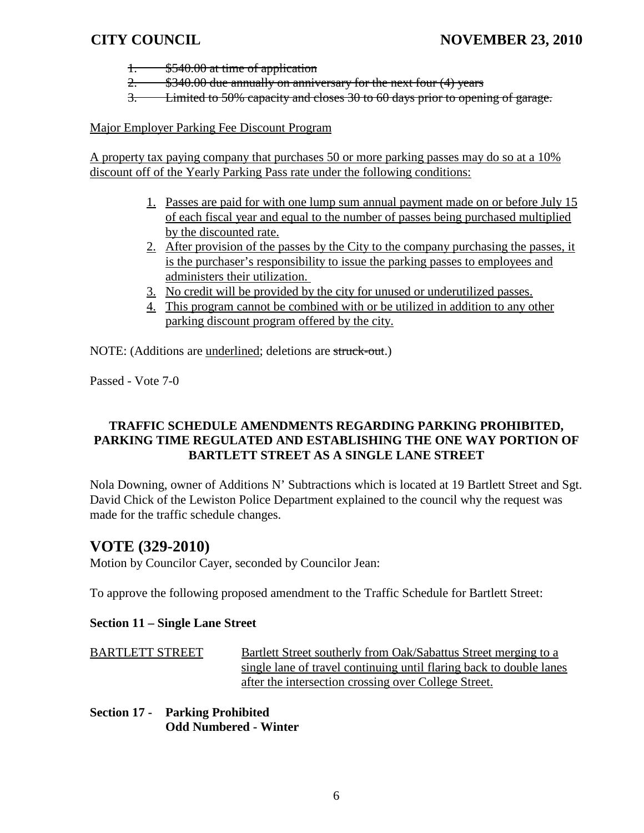- 1. \$540.00 at time of application
- 2. \$340.00 due annually on anniversary for the next four (4) years
- 3. Limited to 50% capacity and closes 30 to 60 days prior to opening of garage.

Major Employer Parking Fee Discount Program

A property tax paying company that purchases 50 or more parking passes may do so at a 10% discount off of the Yearly Parking Pass rate under the following conditions:

- 1. Passes are paid for with one lump sum annual payment made on or before July 15 of each fiscal year and equal to the number of passes being purchased multiplied by the discounted rate.
- 2. After provision of the passes by the City to the company purchasing the passes, it is the purchaser's responsibility to issue the parking passes to employees and administers their utilization.
- 3. No credit will be provided by the city for unused or underutilized passes.
- 4. This program cannot be combined with or be utilized in addition to any other parking discount program offered by the city.

NOTE: (Additions are underlined; deletions are struck-out.)

Passed - Vote 7-0

## **TRAFFIC SCHEDULE AMENDMENTS REGARDING PARKING PROHIBITED, PARKING TIME REGULATED AND ESTABLISHING THE ONE WAY PORTION OF BARTLETT STREET AS A SINGLE LANE STREET**

Nola Downing, owner of Additions N' Subtractions which is located at 19 Bartlett Street and Sgt. David Chick of the Lewiston Police Department explained to the council why the request was made for the traffic schedule changes.

## **VOTE (329-2010)**

Motion by Councilor Cayer, seconded by Councilor Jean:

To approve the following proposed amendment to the Traffic Schedule for Bartlett Street:

#### **Section 11 – Single Lane Street**

BARTLETT STREET Bartlett Street southerly from Oak/Sabattus Street merging to a single lane of travel continuing until flaring back to double lanes after the intersection crossing over College Street.

**Section 17 - Parking Prohibited Odd Numbered - Winter**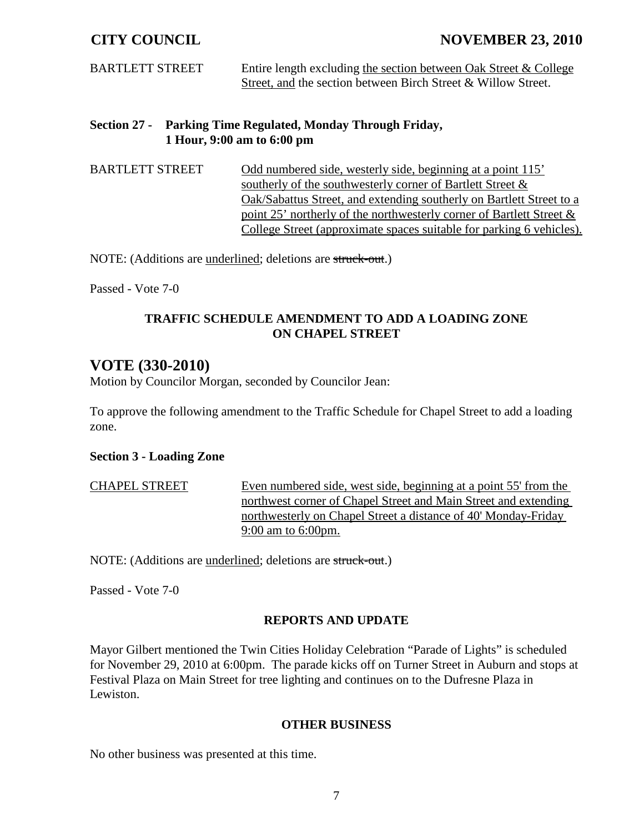BARTLETT STREET Entire length excluding the section between Oak Street & College Street, and the section between Birch Street & Willow Street.

**Section 27 - Parking Time Regulated, Monday Through Friday, 1 Hour, 9:00 am to 6:00 pm**

BARTLETT STREET Odd numbered side, westerly side, beginning at a point 115' southerly of the southwesterly corner of Bartlett Street & Oak/Sabattus Street, and extending southerly on Bartlett Street to a point 25' northerly of the northwesterly corner of Bartlett Street & College Street (approximate spaces suitable for parking 6 vehicles).

NOTE: (Additions are underlined; deletions are struck-out.)

Passed - Vote 7-0

### **TRAFFIC SCHEDULE AMENDMENT TO ADD A LOADING ZONE ON CHAPEL STREET**

## **VOTE (330-2010)**

Motion by Councilor Morgan, seconded by Councilor Jean:

To approve the following amendment to the Traffic Schedule for Chapel Street to add a loading zone.

#### **Section 3 - Loading Zone**

CHAPEL STREET Even numbered side, west side, beginning at a point 55' from the northwest corner of Chapel Street and Main Street and extending northwesterly on Chapel Street a distance of 40' Monday-Friday 9:00 am to 6:00pm.

NOTE: (Additions are <u>underlined</u>; deletions are struck-out.)

Passed - Vote 7-0

#### **REPORTS AND UPDATE**

Mayor Gilbert mentioned the Twin Cities Holiday Celebration "Parade of Lights" is scheduled for November 29, 2010 at 6:00pm. The parade kicks off on Turner Street in Auburn and stops at Festival Plaza on Main Street for tree lighting and continues on to the Dufresne Plaza in Lewiston.

#### **OTHER BUSINESS**

No other business was presented at this time.